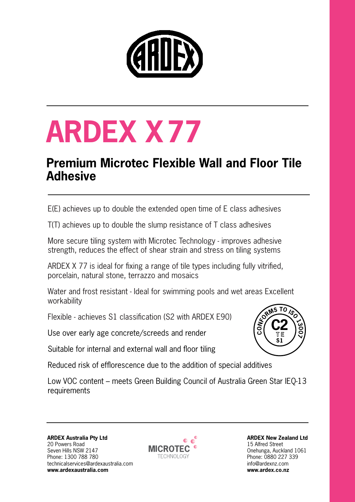

# **ARDEX X77**

### **Premium Microtec Flexible Wall and Floor Tile Adhesive**

E(E) achieves up to double the extended open time of E class adhesives

T(T) achieves up to double the slump resistance of T class adhesives

More secure tiling system with Microtec Technology - improves adhesive strength, reduces the effect of shear strain and stress on tiling systems

ARDEX X 77 is ideal for fixing a range of tile types including fully vitrified, porcelain, natural stone, terrazzo and mosaics

Water and frost resistant - Ideal for swimming pools and wet areas Excellent workability

Flexible - achieves S1 classification (S2 with ARDEX E90)

Use over early age concrete/screeds and render

Suitable for internal and external wall and floor tiling

Reduced risk of efflorescence due to the addition of special additives

Low VOC content – meets Green Building Council of Australia Green Star IEQ-13 requirements

**ARDEX Australia Pty Ltd** 20 Powers Road Seven Hills NSW 2147 Phone: 1300 788 780 [technicalservices@ardexaustralia.com](mailto:technicalservices@ardexaustralia.com) **[www.ardexaustralia.com](http://www.ardexaustralia.com)**



**ARDEX New Zealand Ltd** 15 Alfred Street Onehunga, Auckland 1061 Phone: 0880 227 339 info@ardexnz.com **www.ardex.co.nz**

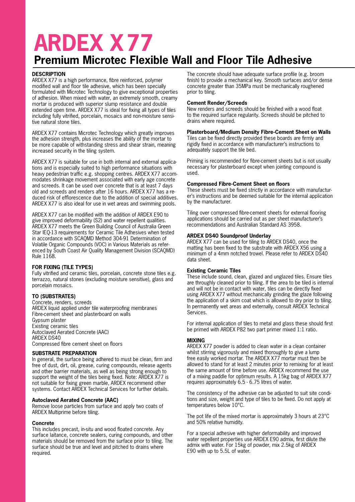## **ARDEX X77**

## **Premium Microtec Flexible Wall and Floor Tile Adhesive**

#### **DESCRIPTION**

ARDEX X77 is a high performance, fibre reinforced, polymer modified wall and floor tile adhesive, which has been specially formulated with Microtec Technology to give exceptional properties of adhesion. When mixed with water, an extremely smooth, creamy mortar is produced with superior slump resistance and double extended open time. ARDEX X77 is ideal for fixing all types of tiles including fully vitrified, porcelain, mosaics and non-moisture sensitive natural stone tiles.

ARDEX X77 contains Microtec Technology which greatly improves the adhesion strength, plus increases the ability of the mortar to be more capable of withstanding stress and shear strain, meaning increased security in the tiling system.

ARDEX X77 is suitable for use in both internal and external applications and is especially suited to high performance situations with heavy pedestrian traffic e.g. shopping centres. ARDEX X77 accommodates shrinkage movement associated with early age concrete and screeds. It can be used over concrete that is at least 7 days old and screeds and renders after 16 hours. ARDEX X77 has a reduced risk of efflorescence due to the addition of special additives. ARDEX X77 is also ideal for use in wet areas and swimming pools.

ARDEX X77 can be modified with the addition of ARDEX E90 to give improved deformability (S2) and water repellent qualities. ARDEX X77 meets the Green Building Council of Australia Green Star IEQ-13 requirements for Ceramic Tile Adhesives when tested in accordance with SCAQMD Method 304-91 Determination of Volatile Organic Compounds (VOC) in Various Materials as referenced by South Coast Air Quality Management Division (SCAQMD) Rule 1168.

#### **FOR FIXING (TILE TYPES)**

Fully vitrified and ceramic tiles, porcelain, concrete stone tiles e.g. terrazzo, natural stones (excluding moisture sensitive), glass and porcelain mosaics.

#### **TO (SUBSTRATES)**

Concrete, renders, screeds ARDEX liquid applied under tile waterproofing membranes Fibre-cement sheet and plasterboard on walls Gypsum plaster Existing ceramic tiles Autoclaved Aerated Concrete (AAC) ARDEX DS40 Compressed fibre cement sheet on floors

#### **SUBSTRATE PREPARATION**

In general, the surface being adhered to must be clean, firm and free of dust, dirt, oil, grease, curing compounds, release agents and other barrier materials, as well as being strong enough to support the weight of the tiles being fixed. Note: ARDEX X77 is not suitable for fixing green marble, ARDEX recommend other systems. Contact ARDEX Technical Services for further details.

#### **Autoclaved Aerated Concrete (AAC)**

Remove loose particles from surface and apply two coats of ARDEX Multiprime before tiling.

#### **Concrete**

This includes precast, in-situ and wood floated concrete. Any surface laitance, concrete sealers, curing compounds, and other materials should be removed from the surface prior to tiling. The surface should be true and level and pitched to drains where required.

The concrete should have adequate surface profile (e.g. broom finish) to provide a mechanical key. Smooth surfaces and/or dense concrete greater than 35MPa must be mechanically roughened prior to tiling.

#### **Cement Render/Screeds**

New renders and screeds should be finished with a wood float to the required surface regularity. Screeds should be pitched to drains where required.

#### **Plasterboard/Medium Density Fibre-Cement Sheet on Walls**

Tiles can be fixed directly provided these boards are firmly and rigidly fixed in accordance with manufacturer's instructions to adequately support the tile bed.

Priming is recommended for fibre-cement sheets but is not usually necessary for plasterboard except when jointing compound is used.

#### **Compressed Fibre-Cement Sheet on floors**

These sheets must be fixed strictly in accordance with manufacturer's instructions and be deemed suitable for the internal application by the manufacturer.

Tiling over compressed fibre-cement sheets for external flooring applications should be carried out as per sheet manufacturer's recommendations and Australian Standard AS 3958.

#### **ARDEX DS40 Soundproof Underlay**

ARDEX X77 can be used for tiling to ARDEX DS40, once the matting has been fixed to the substrate with ARDEX X56 using a minimum of a 4mm notched trowel. Please refer to ARDEX DS40 data sheet.

#### **Existing Ceramic Tiles**

These include sound, clean, glazed and unglazed tiles. Ensure tiles are throughly cleaned prior to tiling. If the area to be tiled is internal and will not be in contact with water, tiles can be directly fixed using ARDEX X77 without mechanically grinding the glaze following the application of a skim coat which is allowed to dry prior to tiling. In permanently wet areas and externally, consult ARDEX Technical Services.

For internal application of tiles to metal and glass these should first be primed with ARDEX P82 two part primer mixed 1:1 ratio.

#### **MIXING**

ARDEX X77 powder is added to clean water in a clean container whilst stirring vigorously and mixed thoroughly to give a lump free easily worked mortar. The ARDEX X77 mortar must then be allowed to stand for at least 2 minutes prior to remixing for at least the same amount of time before use. ARDEX recommend the use of a mixing paddle for optimum results. A 15kg bag of ARDEX X77 requires approximately 6.5 - 6.75 litres of water.

The consistency of the adhesive can be adjusted to suit site conditions and size, weight and type of tiles to be fixed. Do not apply at temperatures below 10°C.

The pot life of the mixed mortar is approximately 3 hours at 23°C and 50% relative humidity.

For a special adhesive with higher deformability and improved water repellent properties use ARDEX E90 admix, first dilute the admix with water. For 15kg of powder, mix 2.5kg of ARDEX E90 with up to 5.5L of water.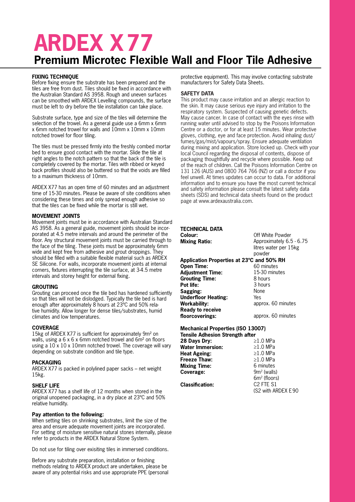## **ARDEX X77 Premium Microtec Flexible Wall and Floor Tile Adhesive**

#### **FIXING TECHNIQUE**

Before fixing ensure the substrate has been prepared and the tiles are free from dust. Tiles should be fixed in accordance with the Australian Standard AS 3958. Rough and uneven surfaces can be smoothed with ARDEX Levelling compounds, the surface must be left to dry before the tile installation can take place.

Substrate surface, type and size of the tiles will determine the selection of the trowel. As a general guide use a 6mm x 6mm x 6mm notched trowel for walls and 10mm x 10mm x 10mm notched trowel for floor tiling.

The tiles must be pressed firmly into the freshly combed mortar bed to ensure good contact with the mortar. Slide the tile at right angles to the notch pattern so that the back of the tile is completely covered by the mortar. Tiles with ribbed or keyed back profiles should also be buttered so that the voids are filled to a maximum thickness of 10mm.

ARDEX X77 has an open time of 60 minutes and an adjustment time of 15-30 minutes. Please be aware of site conditions when considering these times and only spread enough adhesive so that the tiles can be fixed while the mortar is still wet.

#### **MOVEMENT JOINTS**

Movement joints must be in accordance with Australian Standard AS 3958. As a general guide, movement joints should be incorporated at 4.5 metre intervals and around the perimeter of the floor. Any structural movement joints must be carried through to the face of the tiling. These joints must be approximately 6mm wide and kept free from adhesive and grout droppings. They should be filled with a suitable flexible material such as ARDEX SE Silicone. For walls, incorporate movement joints at internal corners, fixtures interrupting the tile surface, at 3-4.5 metre intervals and storey height for external fixing.

#### **GROUTING**

Grouting can proceed once the tile bed has hardened sufficiently so that tiles will not be dislodged. Typically the tile bed is hard enough after approximately 8 hours at 23ºC and 50% relative humidity. Allow longer for dense tiles/substrates, humid climates and low temperatures.

#### **COVERAGE**

15kg of ARDEX X77 is sufficient for approximately 9m² on walls, using a 6 x 6 x 6mm notched trowel and 6m<sup>2</sup> on floors using a 10 x 10 x 10mm notched trowel. The coverage will vary depending on substrate condition and tile type.

#### **PACKAGING**

ARDEX X77 is packed in polylined paper sacks – net weight 15kg.

#### **SHELF LIFE**

ARDEX X77 has a shelf life of 12 months when stored in the original unopened packaging, in a dry place at 23ºC and 50% relative humidity.

#### **Pay attention to the following:**

When setting tiles on shrinking substrates, limit the size of the area and ensure adequate movement joints are incorporated. For setting of moisture sensitive natural stones internally, please refer to products in the ARDEX Natural Stone System.

Do not use for tiling over exisiting tiles in immersed conditions.

Before any substrate preparation, installation or finishing methods relating to ARDEX product are undertaken, please be aware of any potential risks and use appropriate PPE (personal

protective equipment). This may involve contacting substrate manufacturers for Safety Data Sheets.

#### **SAFETY DATA**

This product may cause irritation and an allergic reaction to the skin. It may cause serious eye injury and irritation to the respiratory system. Suspected of causing genetic defects. May cause cancer. In case of contact with the eyes rinse with running water until advised to stop by the Poisons Information Centre or a doctor, or for at least 15 minutes. Wear protective gloves, clothing, eye and face protection. Avoid inhaling dust/ fumes/gas/mist/vapours/spray. Ensure adequate ventilation during mixing and application. Store locked up. Check with your local Council regarding the disposal of contents, dispose of packaging thoughtfully and recycle where possible. Keep out of the reach of children. Call the Poisons Information Centre on 131 126 (AUS) and 0800 764 766 (NZ) or call a doctor if you feel unwell. At times updates can occur to data. For additional information and to ensure you have the most current technical and safety information please consult the latest safety data sheets (SDS) and technical data sheets found on the product page at www.ardexaustralia.com.

| TECHNICAL DATA                            |                                   |
|-------------------------------------------|-----------------------------------|
| Colour:                                   | Off White Powder                  |
| <b>Mixing Ratio:</b>                      | Approximately 6.5 - 6.75          |
|                                           | litres water per 15kg             |
|                                           | powder                            |
| Application Properties at 23°C and 50% RH |                                   |
| <b>Open Time:</b>                         | 60 minutes                        |
| <b>Adjustment Time:</b>                   | 15-30 minutes                     |
| <b>Grouting Time:</b>                     | 8 hours                           |
| Pot life:                                 | 3 hours                           |
| Sagging:                                  | None                              |
| <b>Underfloor Heating:</b>                | Yes                               |
| Workability:                              | approx. 60 minutes                |
| <b>Ready to receive</b>                   |                                   |
| floorcoverings:                           | approx. 60 minutes                |
|                                           |                                   |
|                                           |                                   |
| <b>Mechanical Properties (ISO 13007)</b>  |                                   |
| <b>Tensile Adhesion Strength after</b>    | $>1.0$ MPa                        |
| 28 Days Dry:<br><b>Water Immersion:</b>   | $\geq$ 1.0 MPa                    |
|                                           | $>1.0$ MPa                        |
| <b>Heat Ageing:</b><br>Freeze Thaw:       | $\geq$ 1.0 MPa                    |
|                                           | 6 minutes                         |
| <b>Mixing Time:</b>                       | $9m2$ (walls)                     |
| Coverage:                                 | $6m2$ (floors)                    |
| <b>Classification:</b>                    | C <sub>2</sub> FTF S <sub>1</sub> |
|                                           | (S2 with ARDEX E 90               |
|                                           |                                   |
|                                           |                                   |
|                                           |                                   |